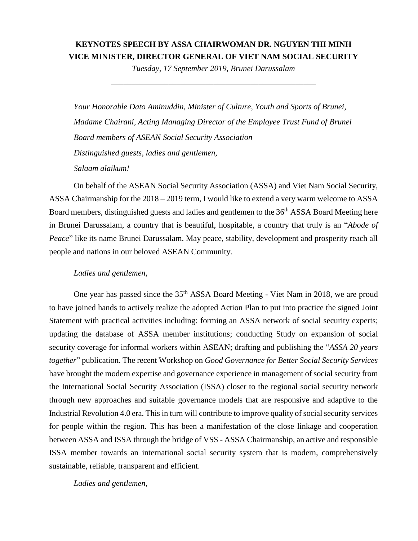## **KEYNOTES SPEECH BY ASSA CHAIRWOMAN DR. NGUYEN THI MINH VICE MINISTER, DIRECTOR GENERAL OF VIET NAM SOCIAL SECURITY**

*Tuesday, 17 September 2019, Brunei Darussalam \_\_\_\_\_\_\_\_\_\_\_\_\_\_\_\_\_\_\_\_\_\_\_\_\_\_\_\_\_\_\_\_\_\_\_\_\_\_\_\_\_\_\_\_\_\_\_\_\_\_*

*Your Honorable Dato Aminuddin, Minister of Culture, Youth and Sports of Brunei, Madame Chairani, Acting Managing Director of the Employee Trust Fund of Brunei Board members of ASEAN Social Security Association Distinguished guests, ladies and gentlemen, Salaam alaikum!*

On behalf of the ASEAN Social Security Association (ASSA) and Viet Nam Social Security, ASSA Chairmanship for the 2018 – 2019 term, I would like to extend a very warm welcome to ASSA Board members, distinguished guests and ladies and gentlemen to the 36<sup>th</sup> ASSA Board Meeting here in Brunei Darussalam, a country that is beautiful, hospitable, a country that truly is an "*Abode of Peace*" like its name Brunei Darussalam. May peace, stability, development and prosperity reach all people and nations in our beloved ASEAN Community.

## *Ladies and gentlemen,*

One year has passed since the 35<sup>th</sup> ASSA Board Meeting - Viet Nam in 2018, we are proud to have joined hands to actively realize the adopted Action Plan to put into practice the signed Joint Statement with practical activities including: forming an ASSA network of social security experts; updating the database of ASSA member institutions; conducting Study on expansion of social security coverage for informal workers within ASEAN; drafting and publishing the "*ASSA 20 years together*" publication. The recent Workshop on *Good Governance for Better Social Security Services* have brought the modern expertise and governance experience in management of social security from the International Social Security Association (ISSA) closer to the regional social security network through new approaches and suitable governance models that are responsive and adaptive to the Industrial Revolution 4.0 era. This in turn will contribute to improve quality of social security services for people within the region. This has been a manifestation of the close linkage and cooperation between ASSA and ISSA through the bridge of VSS - ASSA Chairmanship, an active and responsible ISSA member towards an international social security system that is modern, comprehensively sustainable, reliable, transparent and efficient.

*Ladies and gentlemen,*